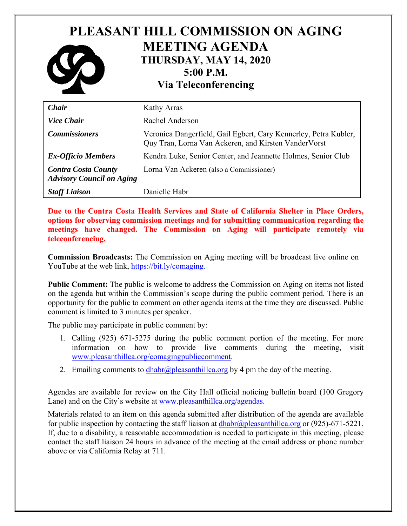## **PLEASANT HILL COMMISSION ON AGING MEETING AGENDA THURSDAY, MAY 14, 2020 5:00 P.M. Via Teleconferencing**

| Chair                                                          | Kathy Arras                                                                                                               |
|----------------------------------------------------------------|---------------------------------------------------------------------------------------------------------------------------|
| <b>Vice Chair</b>                                              | Rachel Anderson                                                                                                           |
| <b>Commissioners</b>                                           | Veronica Dangerfield, Gail Egbert, Cary Kennerley, Petra Kubler,<br>Quy Tran, Lorna Van Ackeren, and Kirsten Vander Vorst |
| <b>Ex-Officio Members</b>                                      | Kendra Luke, Senior Center, and Jeannette Holmes, Senior Club                                                             |
| <b>Contra Costa County</b><br><b>Advisory Council on Aging</b> | Lorna Van Ackeren (also a Commissioner)                                                                                   |
| <b>Staff Liaison</b>                                           | Danielle Habr                                                                                                             |

**Due to the Contra Costa Health Services and State of California Shelter in Place Orders, options for observing commission meetings and for submitting communication regarding the meetings have changed. The Commission on Aging will participate remotely via teleconferencing.** 

**Commission Broadcasts:** The Commission on Aging meeting will be broadcast live online on YouTube at the web link, https://bit.ly/comaging.

**Public Comment:** The public is welcome to address the Commission on Aging on items not listed on the agenda but within the Commission's scope during the public comment period. There is an opportunity for the public to comment on other agenda items at the time they are discussed. Public comment is limited to 3 minutes per speaker.

The public may participate in public comment by:

- 1. Calling (925) 671-5275 during the public comment portion of the meeting. For more information on how to provide live comments during the meeting, visit www.pleasanthillca.org/comagingpubliccomment.
- 2. Emailing comments to  $dhabr@pleasanthillca.org$  by 4 pm the day of the meeting.

Agendas are available for review on the City Hall official noticing bulletin board (100 Gregory Lane) and on the City's website at www.pleasanthillca.org/agendas.

Materials related to an item on this agenda submitted after distribution of the agenda are available for public inspection by contacting the staff liaison at  $dhabr@p$  leasanthillca.org or (925)-671-5221. If, due to a disability, a reasonable accommodation is needed to participate in this meeting, please contact the staff liaison 24 hours in advance of the meeting at the email address or phone number above or via California Relay at 711.